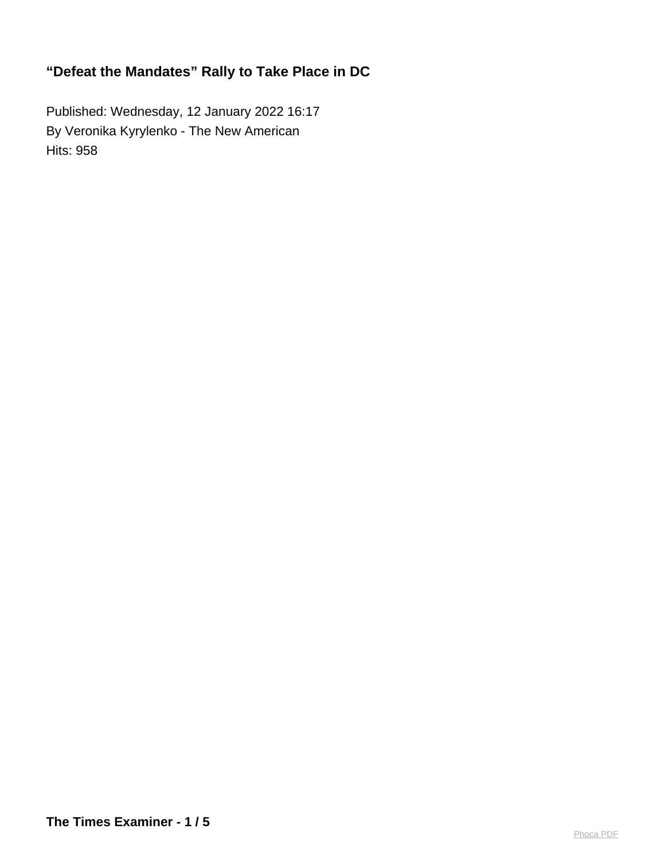Published: Wednesday, 12 January 2022 16:17 By Veronika Kyrylenko - The New American Hits: 958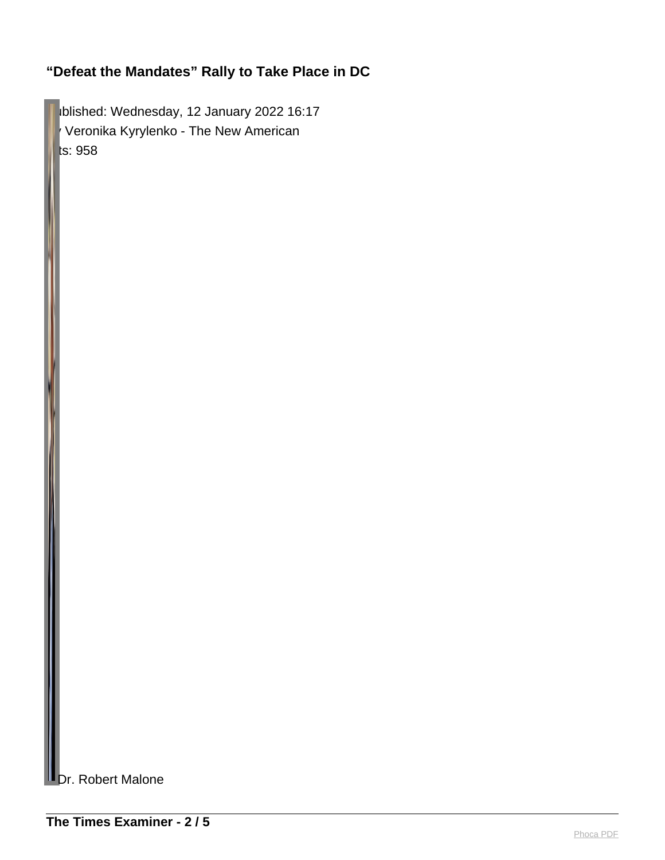Iblished: Wednesday, 12 January 2022 16:17 Veronika Kyrylenko - The New American ts: 958

Dr. Robert Malone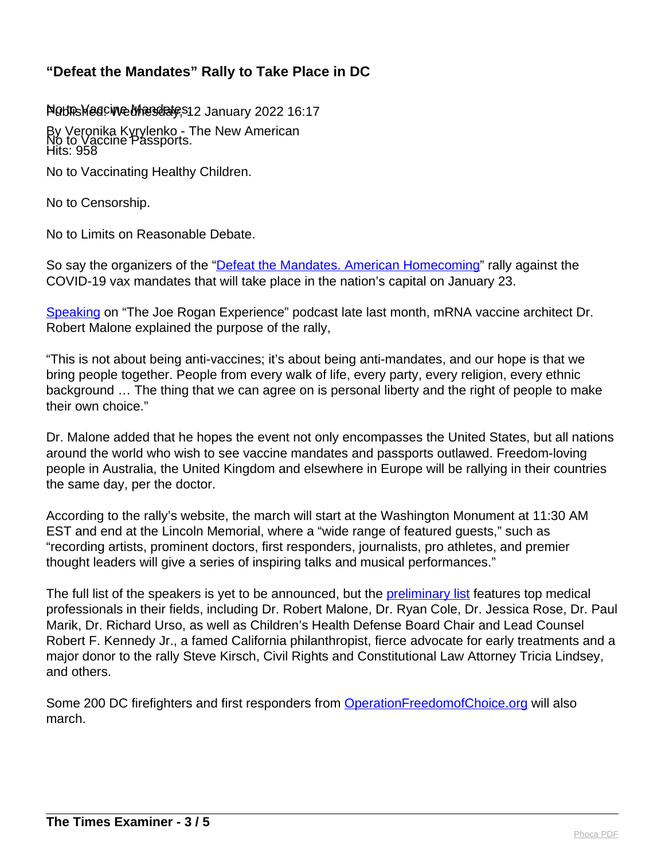#### Northes Meacine Mandate, \$12 January 2022 16:17

By Veronika Kyrylenko - The New American Hits: 958 No to Vaccine Passports.

No to Vaccinating Healthy Children.

No to Censorship.

No to Limits on Reasonable Debate.

So say the organizers of the ["Defeat the Mandates. American Homecoming](https://defeatthemandatesdc.com/)" rally against the COVID-19 vax mandates that will take place in the nation's capital on January 23.

[Speaking](https://open.spotify.com/episode/3SCsueX2bZdbEzRtKOCEyT) on "The Joe Rogan Experience" podcast late last month, mRNA vaccine architect Dr. Robert Malone explained the purpose of the rally,

"This is not about being anti-vaccines; it's about being anti-mandates, and our hope is that we bring people together. People from every walk of life, every party, every religion, every ethnic background … The thing that we can agree on is personal liberty and the right of people to make their own choice."

Dr. Malone added that he hopes the event not only encompasses the United States, but all nations around the world who wish to see vaccine mandates and passports outlawed. Freedom-loving people in Australia, the United Kingdom and elsewhere in Europe will be rallying in their countries the same day, per the doctor.

According to the rally's website, the march will start at the Washington Monument at 11:30 AM EST and end at the Lincoln Memorial, where a "wide range of featured guests," such as "recording artists, prominent doctors, first responders, journalists, pro athletes, and premier thought leaders will give a series of inspiring talks and musical performances."

The full list of the speakers is yet to be announced, but the **preliminary list** features top medical professionals in their fields, including Dr. Robert Malone, Dr. Ryan Cole, Dr. Jessica Rose, Dr. Paul Marik, Dr. Richard Urso, as well as Children's Health Defense Board Chair and Lead Counsel Robert F. Kennedy Jr., a famed California philanthropist, fierce advocate for early treatments and a major donor to the rally Steve Kirsch, Civil Rights and Constitutional Law Attorney Tricia Lindsey, and others.

Some 200 DC firefighters and first responders from **OperationFreedomofChoice.org** will also march.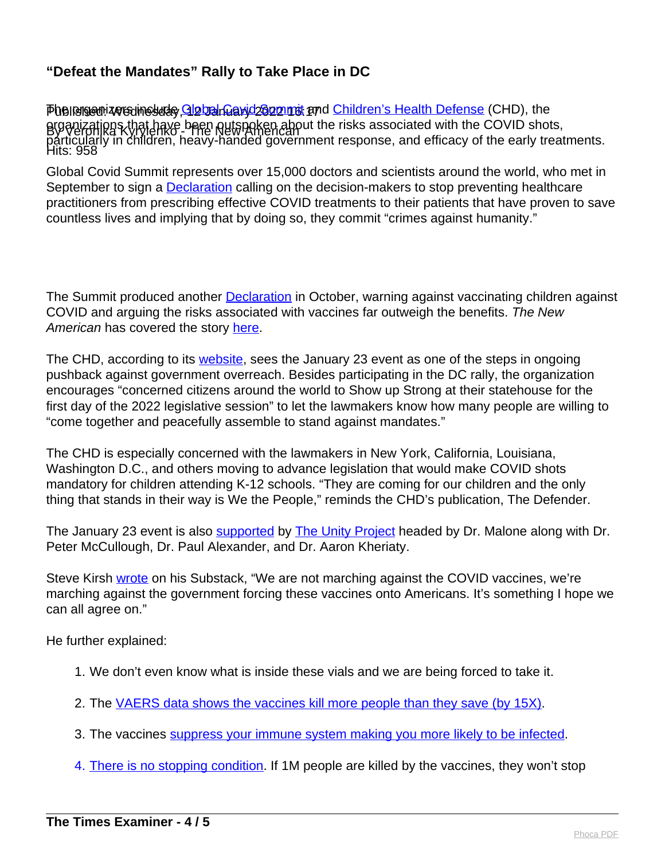Phaliansen zers instale, Global Caryd Sonnat and <u>Children's Health Defense</u> (CHD), the By Veronika Kyrylenko - The New American Hits: 958 proanizations that have been outspoken about the risks associated with the COVID shots, particularly in children, heavy-handed government response, and efficacy of the early treatments.

Global Covid Summit represents over 15,000 doctors and scientists around the world, who met in September to sign a **Declaration** calling on the decision-makers to stop preventing healthcare practitioners from prescribing effective COVID treatments to their patients that have proven to save countless lives and implying that by doing so, they commit "crimes against humanity."

The Summit produced another **Declaration** in October, warning against vaccinating children against COVID and arguing the risks associated with vaccines far outweigh the benefits. The New American has covered the story [here.](https://thenewamerican.com/doctors-summit-under-no-condition-must-a-child-be-vaccinated-with-covid-vaccines/)

The CHD, according to its [website,](https://childrenshealthdefense.org/child-health-topics/health-freedom/worldwide-walk-outs/) sees the January 23 event as one of the steps in ongoing pushback against government overreach. Besides participating in the DC rally, the organization encourages "concerned citizens around the world to Show up Strong at their statehouse for the first day of the 2022 legislative session" to let the lawmakers know how many people are willing to "come together and peacefully assemble to stand against mandates."

The CHD is especially concerned with the lawmakers in New York, California, Louisiana, Washington D.C., and others moving to advance legislation that would make COVID shots mandatory for children attending K-12 schools. "They are coming for our children and the only thing that stands in their way is We the People," reminds the CHD's publication, The Defender.

The January 23 event is also **supported by The Unity Project** headed by Dr. Malone along with Dr. Peter McCullough, Dr. Paul Alexander, and Dr. Aaron Kheriaty.

Steve Kirsh [wrote](https://stevekirsch.substack.com/p/dr-robert-malone-on-joe-rogan-announces) on his Substack, "We are not marching against the COVID vaccines, we're marching against the government forcing these vaccines onto Americans. It's something I hope we can all agree on."

He further explained:

- 1. We don't even know what is inside these vials and we are being forced to take it.
- 2. The [VAERS data shows the vaccines kill more people than they save \(by 15X\).](https://stevekirsch.substack.com/p/there-is-no-stopping-condition)
- 3. The vaccines [suppress your immune system making you more likely to be infected](https://stevekirsch.substack.com/p/there-is-no-stopping-condition).
- 4. [There is no stopping condition.](https://stevekirsch.substack.com/p/there-is-no-stopping-condition) If 1M people are killed by the vaccines, they won't stop